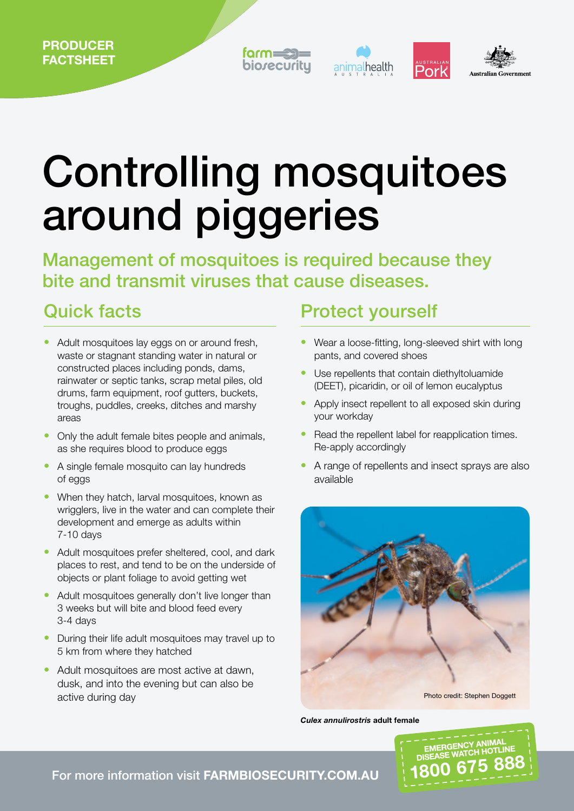



# Controlling mosquitoes around piggeries

Management of mosquitoes is required because they bite and transmit viruses that cause diseases.

#### Quick facts

- **•** Adult mosquitoes lay eggs on or around fresh, waste or stagnant standing water in natural or constructed places including ponds, dams, rainwater or septic tanks, scrap metal piles, old drums, farm equipment, roof gutters, buckets, troughs, puddles, creeks, ditches and marshy areas
- **•** Only the adult female bites people and animals, as she requires blood to produce eggs
- **•** A single female mosquito can lay hundreds of eggs
- **•** When they hatch, larval mosquitoes, known as wrigglers, live in the water and can complete their development and emerge as adults within 7-10 days
- **•** Adult mosquitoes prefer sheltered, cool, and dark places to rest, and tend to be on the underside of objects or plant foliage to avoid getting wet
- **•** Adult mosquitoes generally don't live longer than 3 weeks but will bite and blood feed every 3-4 days
- **•** During their life adult mosquitoes may travel up to 5 km from where they hatched
- **•** Adult mosquitoes are most active at dawn, dusk, and into the evening but can also be

#### Protect yourself

- **•** Wear a loose-fitting, long-sleeved shirt with long pants, and covered shoes
- **•** Use repellents that contain diethyltoluamide (DEET), picaridin, or oil of lemon eucalyptus
- **•** Apply insect repellent to all exposed skin during your workday
- Read the repellent label for reapplication times. Re-apply accordingly
- **•** A range of repellents and insect sprays are also available



*Culex annulirostris* adult female



For more information visit FARMBIOSECURITY.COM.AU